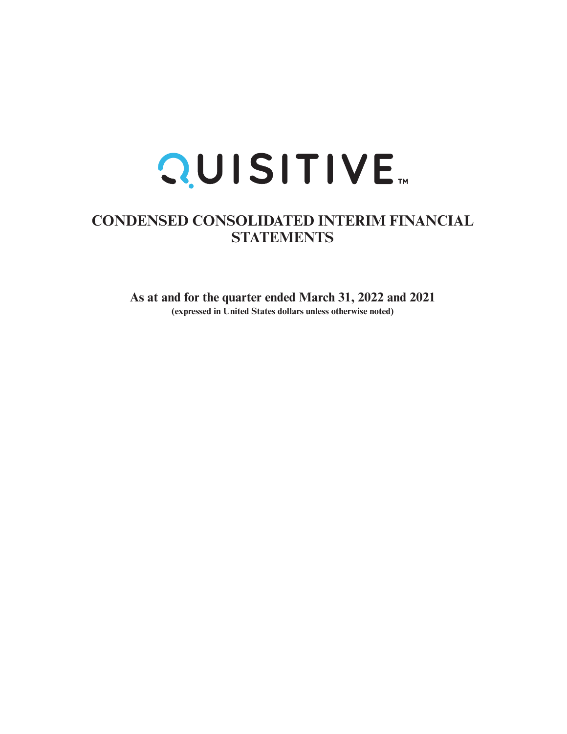

# **CONDENSED CONSOLIDATED INTERIM FINANCIAL STATEMENTS**

**As at and for the quarter ended March 31, 2022 and 2021 (expressed in United States dollars unless otherwise noted)**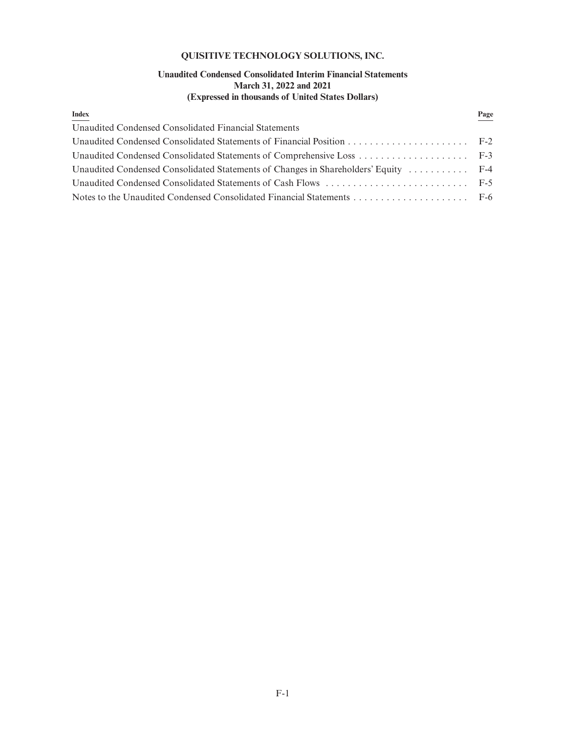# **QUISITIVE TECHNOLOGY SOLUTIONS, INC.**

# **Unaudited Condensed Consolidated Interim Financial Statements March 31, 2022 and 2021 (Expressed in thousands of United States Dollars)**

| <b>Index</b>                                                                        | Page |
|-------------------------------------------------------------------------------------|------|
| Unaudited Condensed Consolidated Financial Statements                               |      |
|                                                                                     |      |
|                                                                                     |      |
| Unaudited Condensed Consolidated Statements of Changes in Shareholders' Equity  F-4 |      |
|                                                                                     |      |
|                                                                                     |      |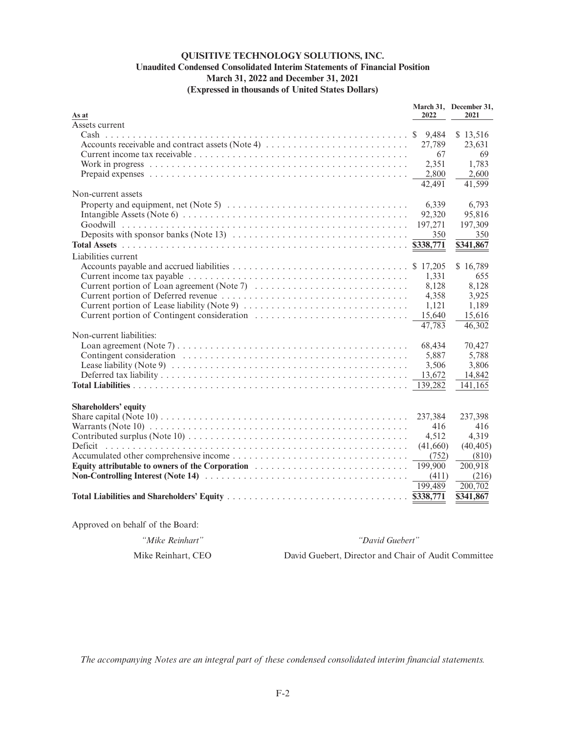# **QUISITIVE TECHNOLOGY SOLUTIONS, INC. Unaudited Condensed Consolidated Interim Statements of Financial Position March 31, 2022 and December 31, 2021 (Expressed in thousands of United States Dollars)**

| Assets current<br>9,484<br>\$13,516<br>Accounts receivable and contract assets (Note 4)<br>27,789<br>23,631<br>67<br>2,351<br>1,783     | 69  |
|-----------------------------------------------------------------------------------------------------------------------------------------|-----|
|                                                                                                                                         |     |
|                                                                                                                                         |     |
|                                                                                                                                         |     |
|                                                                                                                                         |     |
|                                                                                                                                         |     |
| 2.800<br>2.600                                                                                                                          |     |
| 41,599<br>42,491                                                                                                                        |     |
| Non-current assets                                                                                                                      |     |
| 6,339<br>6.793<br>Property and equipment, net (Note 5) $\dots \dots \dots \dots \dots \dots \dots \dots \dots \dots \dots \dots$        |     |
| 92,320<br>95,816                                                                                                                        |     |
| 197,271<br>197,309                                                                                                                      |     |
| 350                                                                                                                                     | 350 |
| \$338,771<br>\$341,867                                                                                                                  |     |
| Liabilities current                                                                                                                     |     |
| \$17,205<br>\$16,789                                                                                                                    |     |
| 1.331                                                                                                                                   | 655 |
| Current portion of Loan agreement (Note 7)<br>8,128<br>8,128                                                                            |     |
| 4,358<br>3,925                                                                                                                          |     |
| 1.189<br>1,121                                                                                                                          |     |
| 15.640<br>15,616                                                                                                                        |     |
| 47,783<br>46,302                                                                                                                        |     |
| Non-current liabilities:                                                                                                                |     |
| Loan agreement (Note 7) $\dots \dots \dots \dots \dots \dots \dots \dots \dots \dots \dots \dots \dots \dots \dots$<br>68,434<br>70,427 |     |
| 5.788<br>5,887                                                                                                                          |     |
| 3,806<br>3,506                                                                                                                          |     |
| 13,672<br>14,842                                                                                                                        |     |
| 139,282<br>141,165                                                                                                                      |     |
|                                                                                                                                         |     |
| <b>Shareholders' equity</b>                                                                                                             |     |
| 237,384<br>237,398                                                                                                                      |     |
| 416                                                                                                                                     | 416 |
| 4,512<br>4,319                                                                                                                          |     |
| (41,660)<br>(40, 405)<br>Deficit                                                                                                        |     |
| (752)<br>(810)                                                                                                                          |     |
| Equity attributable to owners of the Corporation<br>199,900<br>200,918                                                                  |     |
| (411)<br>(216)                                                                                                                          |     |
| 199,489<br>200,702                                                                                                                      |     |
| \$338,771<br>\$341,867                                                                                                                  |     |

Approved on behalf of the Board:

*"Mike Reinhart" "David Guebert"*

Mike Reinhart, CEO David Guebert, Director and Chair of Audit Committee

*The accompanying Notes are an integral part of these condensed consolidated interim financial statements.*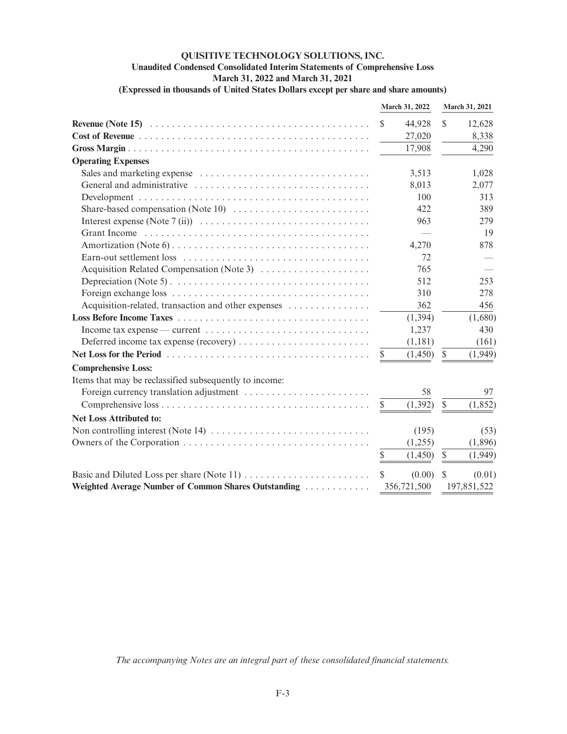# **QUISITIVE TECHNOLOGY SOLUTIONS, INC. Unaudited Condensed Consolidated Interim Statements of Comprehensive Loss March 31, 2022 and March 31, 2021 (Expressed in thousands of United States Dollars except per share and share amounts)**

|                                                                                                  |               | March 31, 2022 |              | March 31, 2021 |
|--------------------------------------------------------------------------------------------------|---------------|----------------|--------------|----------------|
|                                                                                                  | $\mathbb{S}$  | 44,928         | $\mathbb{S}$ | 12,628         |
|                                                                                                  |               | 27,020         |              | 8,338          |
|                                                                                                  |               | 17,908         |              | 4,290          |
| <b>Operating Expenses</b>                                                                        |               |                |              |                |
|                                                                                                  |               | 3,513          |              | 1,028          |
|                                                                                                  |               | 8,013          |              | 2,077          |
|                                                                                                  |               | 100            |              | 313            |
| Share-based compensation (Note 10) $\dots \dots \dots \dots \dots \dots \dots \dots$             |               | 422            |              | 389            |
|                                                                                                  |               | 963            |              | 279            |
|                                                                                                  |               |                |              | 19             |
|                                                                                                  |               | 4,270          |              | 878            |
|                                                                                                  |               | 72             |              |                |
| Acquisition Related Compensation (Note 3)                                                        |               | 765            |              |                |
|                                                                                                  |               | 512            |              | 253            |
|                                                                                                  |               | 310            |              | 278            |
| Acquisition-related, transaction and other expenses                                              |               | 362            |              | 456            |
|                                                                                                  |               | (1, 394)       |              | (1,680)        |
|                                                                                                  |               | 1,237          |              | 430            |
|                                                                                                  |               | (1,181)        |              | (161)          |
|                                                                                                  | \$            | (1,450)        | $\mathbb{S}$ | (1,949)        |
| <b>Comprehensive Loss:</b>                                                                       |               |                |              |                |
| Items that may be reclassified subsequently to income:                                           |               |                |              |                |
|                                                                                                  |               | 58             |              | 97             |
|                                                                                                  | $\mathcal{S}$ | (1, 392)       | $\mathbb{S}$ | (1, 852)       |
| <b>Net Loss Attributed to:</b>                                                                   |               |                |              |                |
| Non controlling interest (Note 14) $\dots \dots \dots \dots \dots \dots \dots \dots \dots \dots$ |               | (195)          |              | (53)           |
|                                                                                                  |               | (1,255)        |              | (1,896)        |
|                                                                                                  | $\mathbb{S}$  | (1,450)        | $\mathbb{S}$ | (1,949)        |
|                                                                                                  | $\mathbb{S}$  | (0.00)         | S            | (0.01)         |
| Weighted Average Number of Common Shares Outstanding                                             |               | 356,721,500    |              | 197,851,522    |

*The accompanying Notes are an integral part of these consolidated financial statements.*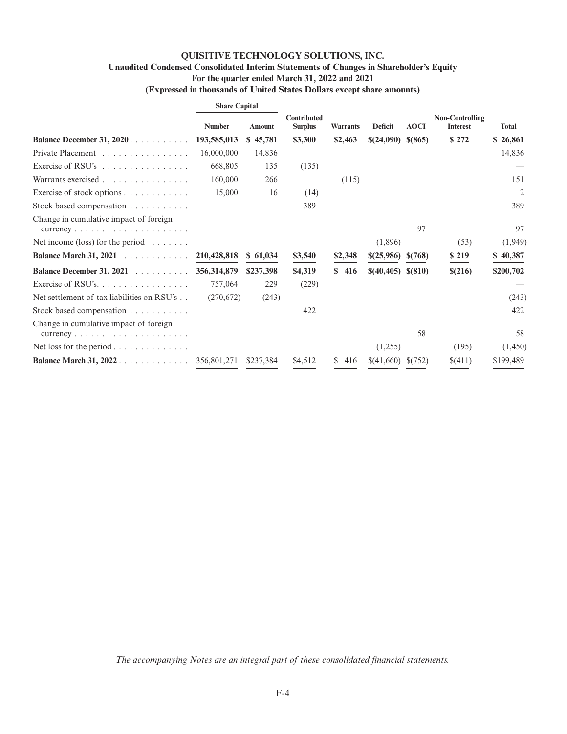# **QUISITIVE TECHNOLOGY SOLUTIONS, INC. Unaudited Condensed Consolidated Interim Statements of Changes in Shareholder's Equity For the quarter ended March 31, 2022 and 2021 (Expressed in thousands of United States Dollars except share amounts)**

|                                                                                                            | <b>Share Capital</b> |           |                                      |                 |                     |             |                                           |              |
|------------------------------------------------------------------------------------------------------------|----------------------|-----------|--------------------------------------|-----------------|---------------------|-------------|-------------------------------------------|--------------|
|                                                                                                            | <b>Number</b>        | Amount    | <b>Contributed</b><br><b>Surplus</b> | <b>Warrants</b> | Deficit             | <b>AOCI</b> | <b>Non-Controlling</b><br><b>Interest</b> | <b>Total</b> |
| <b>Balance December 31, 2020</b> .                                                                         | 193,585,013          | \$45,781  | \$3,300                              | \$2,463         | \$(24,090)          | \$ (865)    | \$272                                     | \$26,861     |
| Private Placement                                                                                          | 16,000,000           | 14,836    |                                      |                 |                     |             |                                           | 14,836       |
| Exercise of RSU's $\dots \dots \dots \dots \dots$                                                          | 668,805              | 135       | (135)                                |                 |                     |             |                                           |              |
| Warrants exercised                                                                                         | 160,000              | 266       |                                      | (115)           |                     |             |                                           | 151          |
| Exercise of stock options                                                                                  | 15,000               | 16        | (14)                                 |                 |                     |             |                                           | 2            |
| Stock based compensation $\dots \dots \dots$                                                               |                      |           | 389                                  |                 |                     |             |                                           | 389          |
| Change in cumulative impact of foreign<br>$currency \ldots \ldots \ldots \ldots \ldots$                    |                      |           |                                      |                 |                     | 97          |                                           | 97           |
| Net income (loss) for the period $\dots \dots$                                                             |                      |           |                                      |                 | (1,896)             |             | (53)                                      | (1,949)      |
| <b>Balance March 31, 2021</b>                                                                              | 210,428,818          | \$61,034  | \$3,540                              | \$2,348         | \$(25,986)          | \$(768)     | \$219                                     | \$40,387     |
| Balance December 31, 2021                                                                                  | 356, 314, 879        | \$237,398 | \$4,319                              | \$416           | $$(40,405) \$(810)$ |             | \$(216)                                   | \$200,702    |
| Exercise of RSU's.                                                                                         | 757,064              | 229       | (229)                                |                 |                     |             |                                           |              |
| Net settlement of tax liabilities on RSU's                                                                 | (270,672)            | (243)     |                                      |                 |                     |             |                                           | (243)        |
| Stock based compensation                                                                                   |                      |           | 422                                  |                 |                     |             |                                           | 422          |
| Change in cumulative impact of foreign<br>$currency \dots \dots \dots \dots \dots \dots \dots \dots \dots$ |                      |           |                                      |                 |                     | 58          |                                           | 58           |
| Net loss for the period $\ldots \ldots \ldots \ldots$                                                      |                      |           |                                      |                 | (1,255)             |             | (195)                                     | (1,450)      |
| Balance March 31, 2022                                                                                     | 356,801,271          | \$237,384 | \$4,512                              | S.<br>416       | \$(41,660)          | \$(752)     | \$(411)                                   | \$199,489    |

*The accompanying Notes are an integral part of these consolidated financial statements.*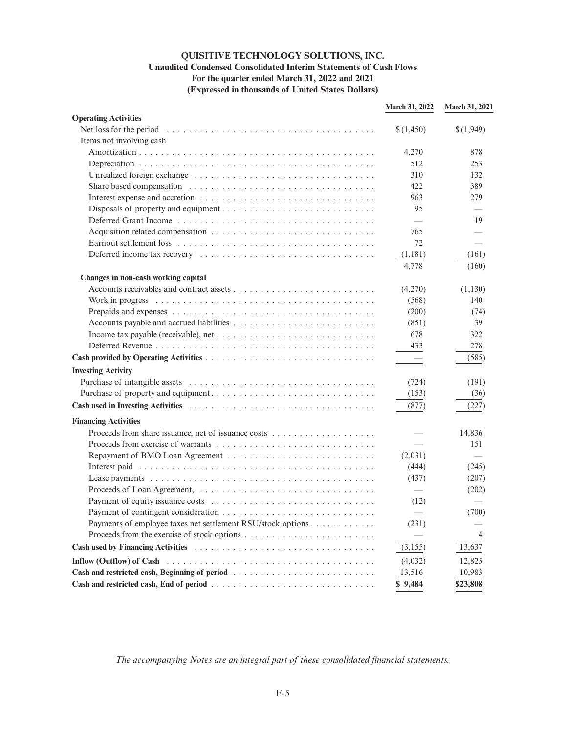# **QUISITIVE TECHNOLOGY SOLUTIONS, INC. Unaudited Condensed Consolidated Interim Statements of Cash Flows For the quarter ended March 31, 2022 and 2021 (Expressed in thousands of United States Dollars)**

|                                                                                                                       | March 31, 2022           | March 31, 2021 |
|-----------------------------------------------------------------------------------------------------------------------|--------------------------|----------------|
| <b>Operating Activities</b>                                                                                           |                          |                |
|                                                                                                                       | \$(1,450)                | \$(1,949)      |
| Items not involving cash                                                                                              |                          |                |
|                                                                                                                       | 4,270                    | 878            |
|                                                                                                                       | 512                      | 253            |
|                                                                                                                       | 310                      | 132            |
|                                                                                                                       | 422                      | 389            |
|                                                                                                                       | 963                      | 279            |
|                                                                                                                       | 95                       |                |
|                                                                                                                       | $\equiv$                 | 19             |
|                                                                                                                       | 765                      |                |
|                                                                                                                       | 72                       |                |
|                                                                                                                       | (1,181)                  | (161)          |
|                                                                                                                       | 4,778                    | (160)          |
| Changes in non-cash working capital                                                                                   |                          |                |
|                                                                                                                       | (4,270)                  | (1, 130)       |
|                                                                                                                       | (568)                    | 140            |
|                                                                                                                       | (200)                    | (74)           |
|                                                                                                                       | (851)                    | 39             |
|                                                                                                                       | 678                      | 322            |
|                                                                                                                       | 433                      | 278            |
|                                                                                                                       |                          | (585)          |
| <b>Investing Activity</b>                                                                                             |                          |                |
|                                                                                                                       | (724)                    | (191)          |
|                                                                                                                       | (153)                    | (36)           |
|                                                                                                                       | (877)                    | (227)          |
|                                                                                                                       |                          |                |
| <b>Financing Activities</b>                                                                                           |                          |                |
|                                                                                                                       |                          | 14,836         |
|                                                                                                                       | $\overline{\phantom{0}}$ | 151            |
|                                                                                                                       | (2,031)                  |                |
|                                                                                                                       | (444)                    | (245)          |
|                                                                                                                       | (437)                    | (207)          |
|                                                                                                                       |                          | (202)          |
|                                                                                                                       | (12)                     |                |
|                                                                                                                       |                          | (700)          |
| Payments of employee taxes net settlement RSU/stock options                                                           | (231)                    |                |
|                                                                                                                       |                          | 4              |
|                                                                                                                       | (3, 155)                 | 13,637         |
| Inflow (Outflow) of Cash $\ldots \ldots \ldots \ldots \ldots \ldots \ldots \ldots \ldots \ldots \ldots \ldots \ldots$ | (4,032)                  | 12,825         |
|                                                                                                                       | 13,516                   | 10,983         |
|                                                                                                                       | \$9,484                  | \$23,808       |

*The accompanying Notes are an integral part of these consolidated financial statements.*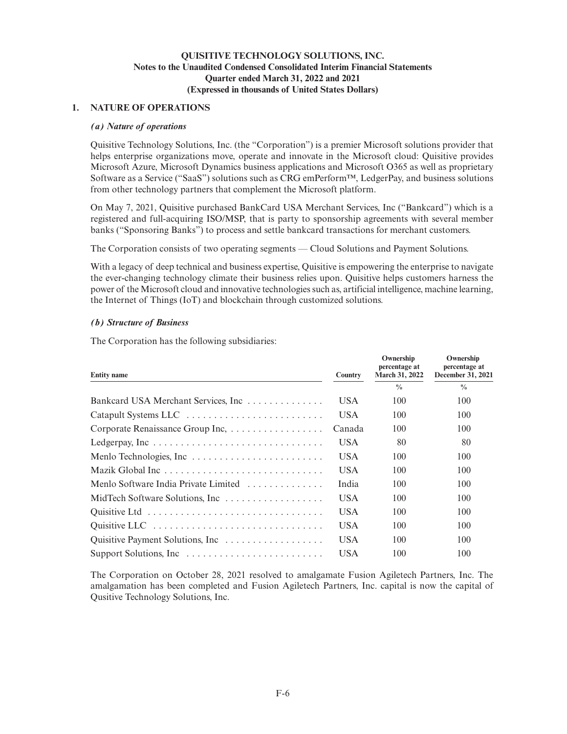### **1. NATURE OF OPERATIONS**

### *(a) Nature of operations*

Quisitive Technology Solutions, Inc. (the "Corporation") is a premier Microsoft solutions provider that helps enterprise organizations move, operate and innovate in the Microsoft cloud: Quisitive provides Microsoft Azure, Microsoft Dynamics business applications and Microsoft O365 as well as proprietary Software as a Service ("SaaS") solutions such as CRG emPerform<sup>™</sup>, LedgerPay, and business solutions from other technology partners that complement the Microsoft platform.

On May 7, 2021, Quisitive purchased BankCard USA Merchant Services, Inc ("Bankcard") which is a registered and full-acquiring ISO/MSP, that is party to sponsorship agreements with several member banks ("Sponsoring Banks") to process and settle bankcard transactions for merchant customers.

The Corporation consists of two operating segments — Cloud Solutions and Payment Solutions.

With a legacy of deep technical and business expertise, Quisitive is empowering the enterprise to navigate the ever-changing technology climate their business relies upon. Quisitive helps customers harness the power of the Microsoft cloud and innovative technologies such as, artificial intelligence, machine learning, the Internet of Things (IoT) and blockchain through customized solutions.

### *(b) Structure of Business*

The Corporation has the following subsidiaries:

| <b>Entity name</b>                   | <b>Country</b> | Ownership<br>percentage at<br>March 31, 2022 | Ownership<br>percentage at<br>December 31, 2021 |
|--------------------------------------|----------------|----------------------------------------------|-------------------------------------------------|
|                                      |                | $\frac{0}{0}$                                | $\frac{0}{0}$                                   |
| Bankcard USA Merchant Services, Inc  | USA.           | 100                                          | 100                                             |
| Catapult Systems LLC                 | USA.           | 100                                          | 100                                             |
| Corporate Renaissance Group Inc,     | Canada         | 100                                          | 100                                             |
| Ledgerpay, Inc                       | USA.           | 80                                           | 80                                              |
|                                      | USA.           | 100                                          | 100                                             |
| Mazik Global Inc                     | USA.           | 100                                          | 100                                             |
| Menlo Software India Private Limited | India          | 100                                          | 100                                             |
|                                      | USA.           | 100                                          | 100                                             |
|                                      | USA.           | 100                                          | 100                                             |
|                                      | <b>USA</b>     | 100                                          | 100                                             |
|                                      | <b>USA</b>     | 100                                          | 100                                             |
|                                      | <b>USA</b>     | 100                                          | 100                                             |

The Corporation on October 28, 2021 resolved to amalgamate Fusion Agiletech Partners, Inc. The amalgamation has been completed and Fusion Agiletech Partners, Inc. capital is now the capital of Qusitive Technology Solutions, Inc.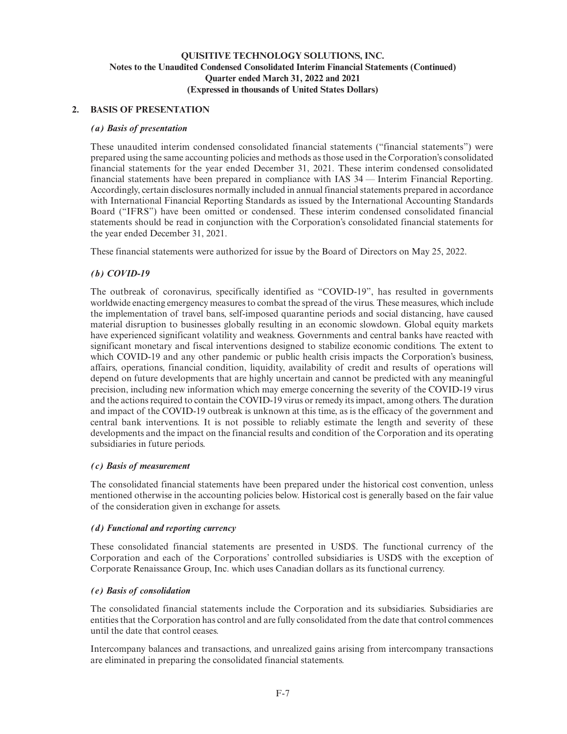# **2. BASIS OF PRESENTATION**

### *(a) Basis of presentation*

These unaudited interim condensed consolidated financial statements ("financial statements") were prepared using the same accounting policies and methods as those used in the Corporation's consolidated financial statements for the year ended December 31, 2021. These interim condensed consolidated financial statements have been prepared in compliance with IAS 34 — Interim Financial Reporting. Accordingly, certain disclosures normally included in annual financial statements prepared in accordance with International Financial Reporting Standards as issued by the International Accounting Standards Board ("IFRS") have been omitted or condensed. These interim condensed consolidated financial statements should be read in conjunction with the Corporation's consolidated financial statements for the year ended December 31, 2021.

These financial statements were authorized for issue by the Board of Directors on May 25, 2022.

### *(b) COVID-19*

The outbreak of coronavirus, specifically identified as "COVID-19", has resulted in governments worldwide enacting emergency measures to combat the spread of the virus. These measures, which include the implementation of travel bans, self-imposed quarantine periods and social distancing, have caused material disruption to businesses globally resulting in an economic slowdown. Global equity markets have experienced significant volatility and weakness. Governments and central banks have reacted with significant monetary and fiscal interventions designed to stabilize economic conditions. The extent to which COVID-19 and any other pandemic or public health crisis impacts the Corporation's business, affairs, operations, financial condition, liquidity, availability of credit and results of operations will depend on future developments that are highly uncertain and cannot be predicted with any meaningful precision, including new information which may emerge concerning the severity of the COVID-19 virus and the actions required to contain the COVID-19 virus or remedy its impact, among others. The duration and impact of the COVID-19 outbreak is unknown at this time, as is the efficacy of the government and central bank interventions. It is not possible to reliably estimate the length and severity of these developments and the impact on the financial results and condition of the Corporation and its operating subsidiaries in future periods.

### *(c) Basis of measurement*

The consolidated financial statements have been prepared under the historical cost convention, unless mentioned otherwise in the accounting policies below. Historical cost is generally based on the fair value of the consideration given in exchange for assets.

### *(d) Functional and reporting currency*

These consolidated financial statements are presented in USD\$. The functional currency of the Corporation and each of the Corporations' controlled subsidiaries is USD\$ with the exception of Corporate Renaissance Group, Inc. which uses Canadian dollars as its functional currency.

### *(e) Basis of consolidation*

The consolidated financial statements include the Corporation and its subsidiaries. Subsidiaries are entities that the Corporation has control and are fully consolidated from the date that control commences until the date that control ceases.

Intercompany balances and transactions, and unrealized gains arising from intercompany transactions are eliminated in preparing the consolidated financial statements.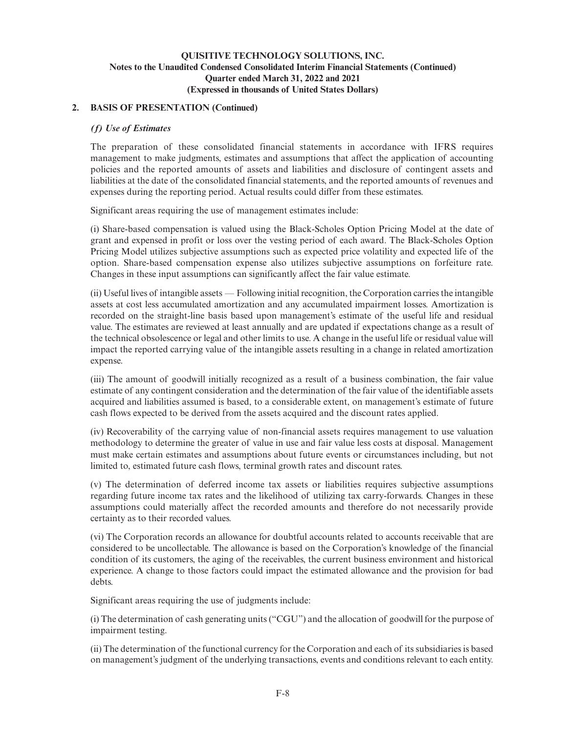# **2. BASIS OF PRESENTATION (Continued)**

### *(f) Use of Estimates*

The preparation of these consolidated financial statements in accordance with IFRS requires management to make judgments, estimates and assumptions that affect the application of accounting policies and the reported amounts of assets and liabilities and disclosure of contingent assets and liabilities at the date of the consolidated financial statements, and the reported amounts of revenues and expenses during the reporting period. Actual results could differ from these estimates.

Significant areas requiring the use of management estimates include:

(i) Share-based compensation is valued using the Black-Scholes Option Pricing Model at the date of grant and expensed in profit or loss over the vesting period of each award. The Black-Scholes Option Pricing Model utilizes subjective assumptions such as expected price volatility and expected life of the option. Share-based compensation expense also utilizes subjective assumptions on forfeiture rate. Changes in these input assumptions can significantly affect the fair value estimate.

(ii) Useful lives of intangible assets — Following initial recognition, the Corporation carries the intangible assets at cost less accumulated amortization and any accumulated impairment losses. Amortization is recorded on the straight-line basis based upon management's estimate of the useful life and residual value. The estimates are reviewed at least annually and are updated if expectations change as a result of the technical obsolescence or legal and other limits to use. A change in the useful life or residual value will impact the reported carrying value of the intangible assets resulting in a change in related amortization expense.

(iii) The amount of goodwill initially recognized as a result of a business combination, the fair value estimate of any contingent consideration and the determination of the fair value of the identifiable assets acquired and liabilities assumed is based, to a considerable extent, on management's estimate of future cash flows expected to be derived from the assets acquired and the discount rates applied.

(iv) Recoverability of the carrying value of non-financial assets requires management to use valuation methodology to determine the greater of value in use and fair value less costs at disposal. Management must make certain estimates and assumptions about future events or circumstances including, but not limited to, estimated future cash flows, terminal growth rates and discount rates.

(v) The determination of deferred income tax assets or liabilities requires subjective assumptions regarding future income tax rates and the likelihood of utilizing tax carry-forwards. Changes in these assumptions could materially affect the recorded amounts and therefore do not necessarily provide certainty as to their recorded values.

(vi) The Corporation records an allowance for doubtful accounts related to accounts receivable that are considered to be uncollectable. The allowance is based on the Corporation's knowledge of the financial condition of its customers, the aging of the receivables, the current business environment and historical experience. A change to those factors could impact the estimated allowance and the provision for bad debts.

Significant areas requiring the use of judgments include:

(i) The determination of cash generating units ("CGU") and the allocation of goodwill for the purpose of impairment testing.

(ii) The determination of the functional currency for the Corporation and each of its subsidiaries is based on management's judgment of the underlying transactions, events and conditions relevant to each entity.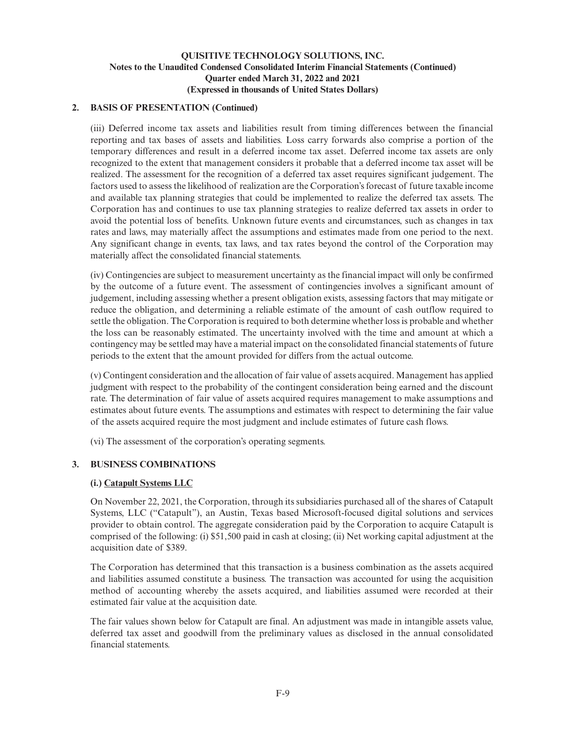# **2. BASIS OF PRESENTATION (Continued)**

(iii) Deferred income tax assets and liabilities result from timing differences between the financial reporting and tax bases of assets and liabilities. Loss carry forwards also comprise a portion of the temporary differences and result in a deferred income tax asset. Deferred income tax assets are only recognized to the extent that management considers it probable that a deferred income tax asset will be realized. The assessment for the recognition of a deferred tax asset requires significant judgement. The factors used to assess the likelihood of realization are the Corporation's forecast of future taxable income and available tax planning strategies that could be implemented to realize the deferred tax assets. The Corporation has and continues to use tax planning strategies to realize deferred tax assets in order to avoid the potential loss of benefits. Unknown future events and circumstances, such as changes in tax rates and laws, may materially affect the assumptions and estimates made from one period to the next. Any significant change in events, tax laws, and tax rates beyond the control of the Corporation may materially affect the consolidated financial statements.

(iv) Contingencies are subject to measurement uncertainty as the financial impact will only be confirmed by the outcome of a future event. The assessment of contingencies involves a significant amount of judgement, including assessing whether a present obligation exists, assessing factors that may mitigate or reduce the obligation, and determining a reliable estimate of the amount of cash outflow required to settle the obligation. The Corporation is required to both determine whether loss is probable and whether the loss can be reasonably estimated. The uncertainty involved with the time and amount at which a contingency may be settled may have a material impact on the consolidated financial statements of future periods to the extent that the amount provided for differs from the actual outcome.

(v) Contingent consideration and the allocation of fair value of assets acquired. Management has applied judgment with respect to the probability of the contingent consideration being earned and the discount rate. The determination of fair value of assets acquired requires management to make assumptions and estimates about future events. The assumptions and estimates with respect to determining the fair value of the assets acquired require the most judgment and include estimates of future cash flows.

(vi) The assessment of the corporation's operating segments.

# **3. BUSINESS COMBINATIONS**

### **(i.) Catapult Systems LLC**

On November 22, 2021, the Corporation, through its subsidiaries purchased all of the shares of Catapult Systems, LLC ("Catapult"), an Austin, Texas based Microsoft-focused digital solutions and services provider to obtain control. The aggregate consideration paid by the Corporation to acquire Catapult is comprised of the following: (i) \$51,500 paid in cash at closing; (ii) Net working capital adjustment at the acquisition date of \$389.

The Corporation has determined that this transaction is a business combination as the assets acquired and liabilities assumed constitute a business. The transaction was accounted for using the acquisition method of accounting whereby the assets acquired, and liabilities assumed were recorded at their estimated fair value at the acquisition date.

The fair values shown below for Catapult are final. An adjustment was made in intangible assets value, deferred tax asset and goodwill from the preliminary values as disclosed in the annual consolidated financial statements.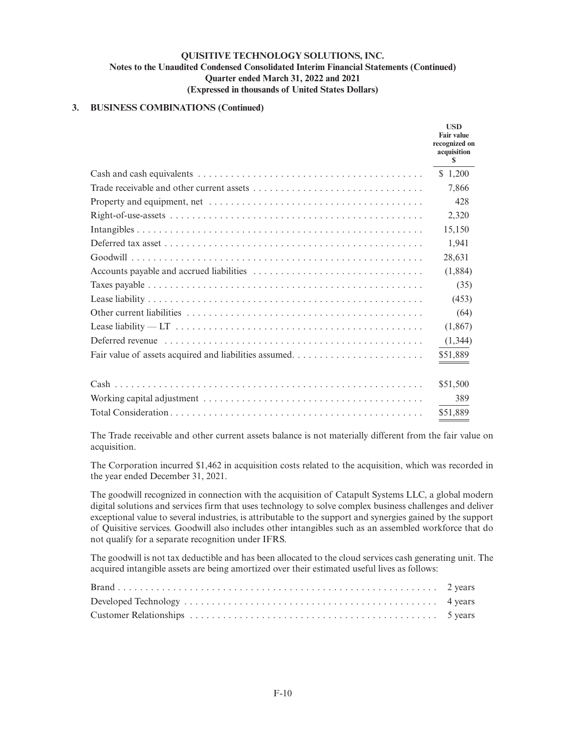### **3. BUSINESS COMBINATIONS (Continued)**

|                                                                                                                                                                                                                                                                                                                                                            | <b>USD</b><br><b>Fair value</b><br>recognized on<br>acquisition<br>S |
|------------------------------------------------------------------------------------------------------------------------------------------------------------------------------------------------------------------------------------------------------------------------------------------------------------------------------------------------------------|----------------------------------------------------------------------|
|                                                                                                                                                                                                                                                                                                                                                            | \$1,200                                                              |
|                                                                                                                                                                                                                                                                                                                                                            | 7,866                                                                |
|                                                                                                                                                                                                                                                                                                                                                            | 428                                                                  |
|                                                                                                                                                                                                                                                                                                                                                            | 2,320                                                                |
|                                                                                                                                                                                                                                                                                                                                                            | 15,150                                                               |
|                                                                                                                                                                                                                                                                                                                                                            | 1,941                                                                |
|                                                                                                                                                                                                                                                                                                                                                            | 28,631                                                               |
|                                                                                                                                                                                                                                                                                                                                                            | (1,884)                                                              |
|                                                                                                                                                                                                                                                                                                                                                            | (35)                                                                 |
|                                                                                                                                                                                                                                                                                                                                                            | (453)                                                                |
|                                                                                                                                                                                                                                                                                                                                                            | (64)                                                                 |
| Lease liability — LT $\dots \dots \dots \dots \dots \dots \dots \dots \dots \dots \dots \dots \dots \dots \dots \dots$                                                                                                                                                                                                                                     | (1,867)                                                              |
| Deferred revenue <i>maturities</i> and <i>n</i> and <i>n</i> and <i>n</i> and <i>n</i> and <i>n</i> and <i>n</i> and <i>n</i> and <i>n</i> and <i>n</i> and <i>n</i> and <i>n</i> and <i>n</i> and <i>n</i> and <i>n</i> and <i>n</i> and <i>n</i> and <i>n</i> and <i>n</i> and <i>n</i> and <i>n</i> and <i>n</i> and <i>n</i> and <i>n</i> and <i>n</i> | (1, 344)                                                             |
| Fair value of assets acquired and liabilities assumed                                                                                                                                                                                                                                                                                                      | \$51,889                                                             |
|                                                                                                                                                                                                                                                                                                                                                            | \$51,500                                                             |
|                                                                                                                                                                                                                                                                                                                                                            | 389                                                                  |
|                                                                                                                                                                                                                                                                                                                                                            | \$51,889                                                             |

The Trade receivable and other current assets balance is not materially different from the fair value on acquisition.

The Corporation incurred \$1,462 in acquisition costs related to the acquisition, which was recorded in the year ended December 31, 2021.

The goodwill recognized in connection with the acquisition of Catapult Systems LLC, a global modern digital solutions and services firm that uses technology to solve complex business challenges and deliver exceptional value to several industries, is attributable to the support and synergies gained by the support of Quisitive services. Goodwill also includes other intangibles such as an assembled workforce that do not qualify for a separate recognition under IFRS.

The goodwill is not tax deductible and has been allocated to the cloud services cash generating unit. The acquired intangible assets are being amortized over their estimated useful lives as follows: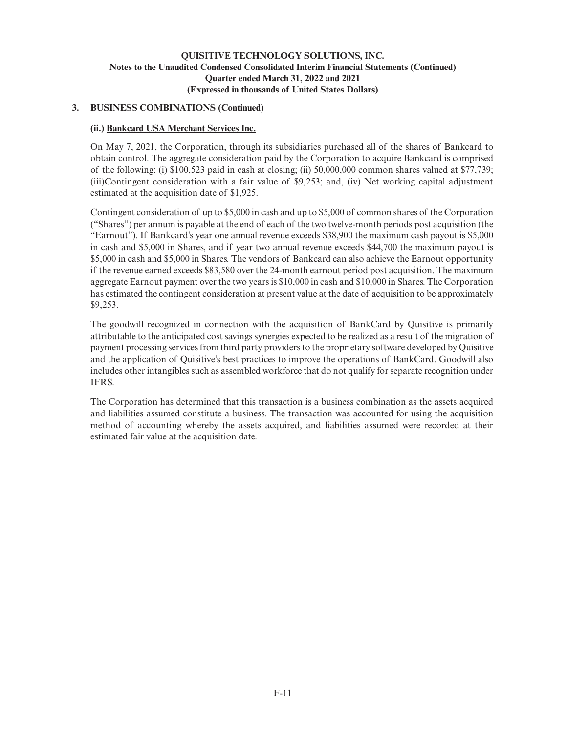# **3. BUSINESS COMBINATIONS (Continued)**

### **(ii.) Bankcard USA Merchant Services Inc.**

On May 7, 2021, the Corporation, through its subsidiaries purchased all of the shares of Bankcard to obtain control. The aggregate consideration paid by the Corporation to acquire Bankcard is comprised of the following: (i) \$100,523 paid in cash at closing; (ii) 50,000,000 common shares valued at \$77,739; (iii)Contingent consideration with a fair value of \$9,253; and, (iv) Net working capital adjustment estimated at the acquisition date of \$1,925.

Contingent consideration of up to \$5,000 in cash and up to \$5,000 of common shares of the Corporation ("Shares") per annum is payable at the end of each of the two twelve-month periods post acquisition (the "Earnout"). If Bankcard's year one annual revenue exceeds \$38,900 the maximum cash payout is \$5,000 in cash and \$5,000 in Shares, and if year two annual revenue exceeds \$44,700 the maximum payout is \$5,000 in cash and \$5,000 in Shares. The vendors of Bankcard can also achieve the Earnout opportunity if the revenue earned exceeds \$83,580 over the 24-month earnout period post acquisition. The maximum aggregate Earnout payment over the two years is \$10,000 in cash and \$10,000 in Shares. The Corporation has estimated the contingent consideration at present value at the date of acquisition to be approximately \$9,253.

The goodwill recognized in connection with the acquisition of BankCard by Quisitive is primarily attributable to the anticipated cost savings synergies expected to be realized as a result of the migration of payment processing services from third party providers to the proprietary software developed by Quisitive and the application of Quisitive's best practices to improve the operations of BankCard. Goodwill also includes other intangibles such as assembled workforce that do not qualify for separate recognition under IFRS.

The Corporation has determined that this transaction is a business combination as the assets acquired and liabilities assumed constitute a business. The transaction was accounted for using the acquisition method of accounting whereby the assets acquired, and liabilities assumed were recorded at their estimated fair value at the acquisition date.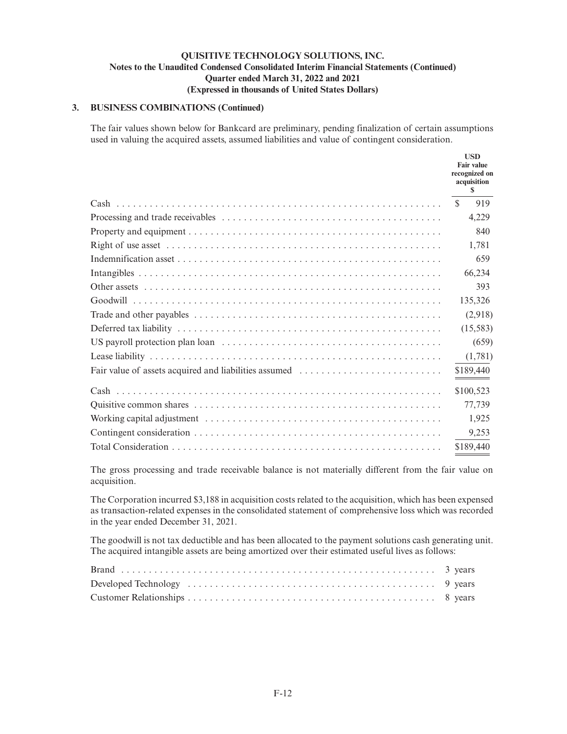# **3. BUSINESS COMBINATIONS (Continued)**

The fair values shown below for Bankcard are preliminary, pending finalization of certain assumptions used in valuing the acquired assets, assumed liabilities and value of contingent consideration.

|                                                       | <b>USD</b><br><b>Fair value</b><br>recognized on<br>acquisition<br>S. |
|-------------------------------------------------------|-----------------------------------------------------------------------|
|                                                       | <sup>\$</sup><br>919                                                  |
|                                                       | 4,229                                                                 |
|                                                       | 840                                                                   |
|                                                       | 1,781                                                                 |
|                                                       | 659                                                                   |
|                                                       | 66,234                                                                |
|                                                       | 393                                                                   |
|                                                       | 135,326                                                               |
|                                                       | (2,918)                                                               |
|                                                       | (15,583)                                                              |
|                                                       | (659)                                                                 |
|                                                       | (1,781)                                                               |
| Fair value of assets acquired and liabilities assumed | \$189,440                                                             |
|                                                       | \$100,523                                                             |
|                                                       | 77,739                                                                |
|                                                       | 1,925                                                                 |
|                                                       | 9,253                                                                 |
|                                                       | \$189,440                                                             |

The gross processing and trade receivable balance is not materially different from the fair value on acquisition.

The Corporation incurred \$3,188 in acquisition costs related to the acquisition, which has been expensed as transaction-related expenses in the consolidated statement of comprehensive loss which was recorded in the year ended December 31, 2021.

The goodwill is not tax deductible and has been allocated to the payment solutions cash generating unit. The acquired intangible assets are being amortized over their estimated useful lives as follows: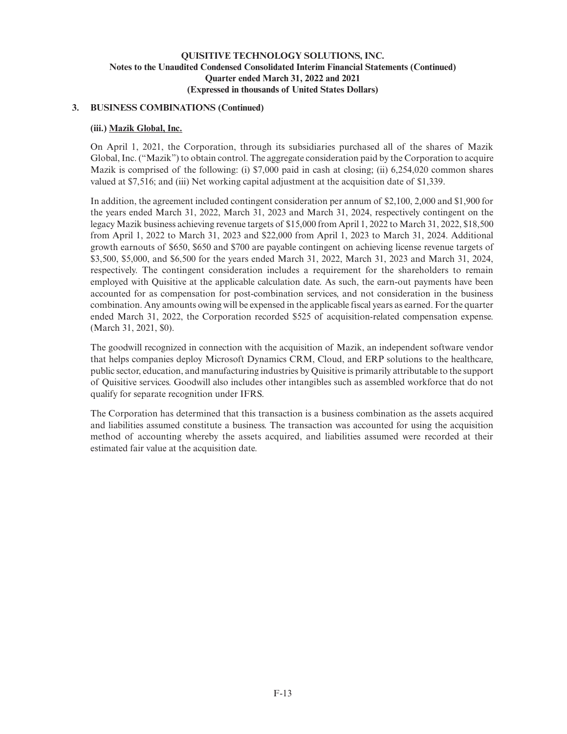### **3. BUSINESS COMBINATIONS (Continued)**

### **(iii.) Mazik Global, Inc.**

On April 1, 2021, the Corporation, through its subsidiaries purchased all of the shares of Mazik Global, Inc. ("Mazik") to obtain control. The aggregate consideration paid by the Corporation to acquire Mazik is comprised of the following: (i) \$7,000 paid in cash at closing; (ii) 6,254,020 common shares valued at \$7,516; and (iii) Net working capital adjustment at the acquisition date of \$1,339.

In addition, the agreement included contingent consideration per annum of \$2,100, 2,000 and \$1,900 for the years ended March 31, 2022, March 31, 2023 and March 31, 2024, respectively contingent on the legacy Mazik business achieving revenue targets of \$15,000 from April 1, 2022 to March 31, 2022, \$18,500 from April 1, 2022 to March 31, 2023 and \$22,000 from April 1, 2023 to March 31, 2024. Additional growth earnouts of \$650, \$650 and \$700 are payable contingent on achieving license revenue targets of \$3,500, \$5,000, and \$6,500 for the years ended March 31, 2022, March 31, 2023 and March 31, 2024, respectively. The contingent consideration includes a requirement for the shareholders to remain employed with Quisitive at the applicable calculation date. As such, the earn-out payments have been accounted for as compensation for post-combination services, and not consideration in the business combination. Any amounts owing will be expensed in the applicable fiscal years as earned. For the quarter ended March 31, 2022, the Corporation recorded \$525 of acquisition-related compensation expense. (March 31, 2021, \$0).

The goodwill recognized in connection with the acquisition of Mazik, an independent software vendor that helps companies deploy Microsoft Dynamics CRM, Cloud, and ERP solutions to the healthcare, public sector, education, and manufacturing industries by Quisitive is primarily attributable to the support of Quisitive services. Goodwill also includes other intangibles such as assembled workforce that do not qualify for separate recognition under IFRS.

The Corporation has determined that this transaction is a business combination as the assets acquired and liabilities assumed constitute a business. The transaction was accounted for using the acquisition method of accounting whereby the assets acquired, and liabilities assumed were recorded at their estimated fair value at the acquisition date.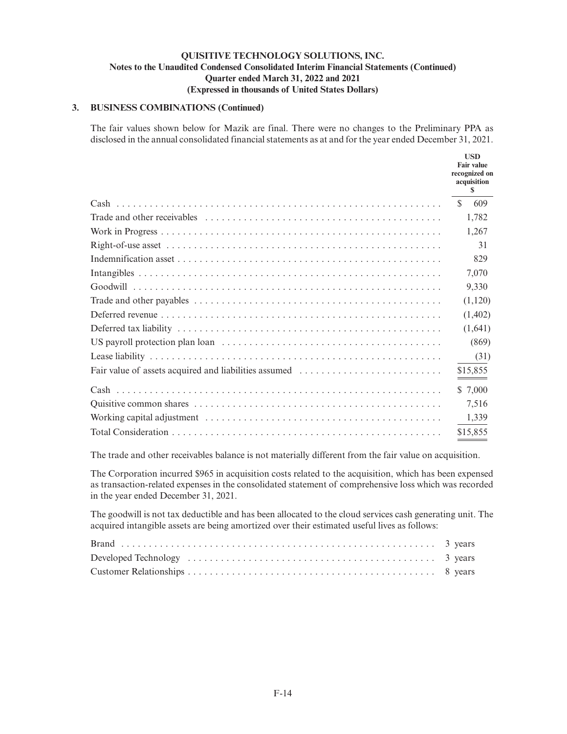### **3. BUSINESS COMBINATIONS (Continued)**

The fair values shown below for Mazik are final. There were no changes to the Preliminary PPA as disclosed in the annual consolidated financial statements as at and for the year ended December 31, 2021.

|                                                       | <b>USD</b><br><b>Fair value</b><br>recognized on<br>acquisition<br>S |
|-------------------------------------------------------|----------------------------------------------------------------------|
|                                                       | 609<br>S.                                                            |
|                                                       | 1,782                                                                |
|                                                       | 1,267                                                                |
|                                                       | 31                                                                   |
|                                                       | 829                                                                  |
|                                                       | 7,070                                                                |
|                                                       | 9,330                                                                |
|                                                       | (1,120)                                                              |
|                                                       | (1,402)                                                              |
|                                                       | (1,641)                                                              |
|                                                       | (869)                                                                |
|                                                       | (31)                                                                 |
| Fair value of assets acquired and liabilities assumed | \$15,855                                                             |
|                                                       | \$ 7,000                                                             |
|                                                       | 7,516                                                                |
|                                                       | 1,339                                                                |
|                                                       | \$15,855                                                             |

The trade and other receivables balance is not materially different from the fair value on acquisition.

The Corporation incurred \$965 in acquisition costs related to the acquisition, which has been expensed as transaction-related expenses in the consolidated statement of comprehensive loss which was recorded in the year ended December 31, 2021.

The goodwill is not tax deductible and has been allocated to the cloud services cash generating unit. The acquired intangible assets are being amortized over their estimated useful lives as follows: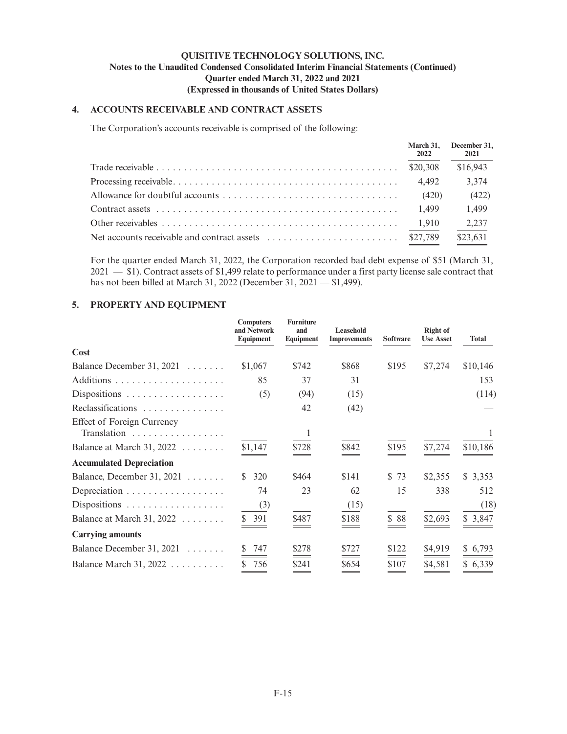# **4. ACCOUNTS RECEIVABLE AND CONTRACT ASSETS**

The Corporation's accounts receivable is comprised of the following:

| 2022 | March 31, December 31,<br>2021 |
|------|--------------------------------|
|      | \$16,943                       |
|      | 3,374                          |
|      | (422)                          |
|      | 1,499                          |
|      | 2,237                          |
|      | \$23,631                       |

For the quarter ended March 31, 2022, the Corporation recorded bad debt expense of \$51 (March 31, 2021 — \$1). Contract assets of \$1,499 relate to performance under a first party license sale contract that has not been billed at March 31, 2022 (December 31, 2021 — \$1,499).

# **5. PROPERTY AND EQUIPMENT**

|                                           | <b>Computers</b><br>and Network<br>Equipment | <b>Furniture</b><br>and<br>Equipment | Leasehold<br><b>Improvements</b> | <b>Software</b> | <b>Right of</b><br><b>Use Asset</b> | <b>Total</b> |
|-------------------------------------------|----------------------------------------------|--------------------------------------|----------------------------------|-----------------|-------------------------------------|--------------|
| Cost                                      |                                              |                                      |                                  |                 |                                     |              |
| Balance December 31, $2021$               | \$1,067                                      | \$742                                | \$868                            | \$195           | \$7,274                             | \$10,146     |
|                                           | 85                                           | 37                                   | 31                               |                 |                                     | 153          |
| Dispositions                              | (5)                                          | (94)                                 | (15)                             |                 |                                     | (114)        |
| Reclassifications                         |                                              | 42                                   | (42)                             |                 |                                     |              |
| Effect of Foreign Currency<br>Translation |                                              |                                      |                                  |                 |                                     |              |
| Balance at March 31, $2022$               | \$1,147                                      | \$728                                | \$842                            | \$195           | \$7,274                             | \$10,186     |
| <b>Accumulated Depreciation</b>           |                                              |                                      |                                  |                 |                                     |              |
| Balance, December 31, 2021                | 320<br>S.                                    | \$464                                | \$141                            | \$73            | \$2,355                             | \$3,353      |
|                                           | 74                                           | 23                                   | 62                               | 15              | 338                                 | 512          |
|                                           | (3)                                          |                                      | (15)                             |                 |                                     | (18)         |
| Balance at March 31, 2022                 | \$391                                        | \$487                                | \$188                            | \$ 88           | \$2,693                             | \$3,847      |
| <b>Carrying amounts</b>                   |                                              |                                      |                                  |                 |                                     |              |
| Balance December 31, 2021                 | 747                                          | \$278                                | \$727                            | \$122           | \$4,919                             | \$6,793      |
| Balance March 31, 2022                    | 756<br>S                                     | \$241<br>___                         | \$654<br>___                     | \$107<br>___    | \$4,581                             | \$6,339      |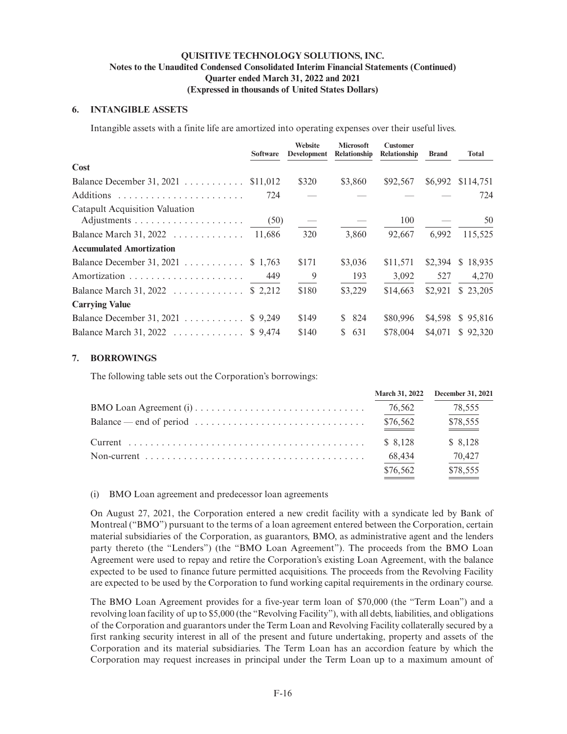# **6. INTANGIBLE ASSETS**

Intangible assets with a finite life are amortized into operating expenses over their useful lives.

|                                                      | <b>Software</b> | Website<br>Development | <b>Microsoft</b><br>Relationship | <b>Customer</b><br>Relationship | <b>Brand</b> | <b>Total</b>      |
|------------------------------------------------------|-----------------|------------------------|----------------------------------|---------------------------------|--------------|-------------------|
| Cost                                                 |                 |                        |                                  |                                 |              |                   |
| Balance December 31, 2021 \$11,012                   |                 | \$320                  | \$3,860                          | \$92,567                        |              | \$6,992 \$114,751 |
|                                                      | 724             |                        |                                  |                                 |              | 724               |
| Catapult Acquisition Valuation                       | (50)            |                        |                                  | 100                             |              | 50                |
| Balance March 31, 2022 $\ldots \ldots \ldots \ldots$ | 11.686          | 320                    | 3,860                            | 92,667                          | 6.992        | 115,525           |
| <b>Accumulated Amortization</b>                      |                 |                        |                                  |                                 |              |                   |
| Balance December 31, 2021 \$ 1,763                   |                 | \$171                  | \$3,036                          | \$11.571                        | \$2.394      | \$18,935          |
|                                                      | 449             | - 9                    | 193                              | 3,092                           | 527          | 4,270             |
| Balance March 31, 2022 \$ 2,212                      |                 | \$180                  | \$3,229                          | \$14,663                        | \$2,921      | \$23,205          |
| <b>Carrying Value</b>                                |                 |                        |                                  |                                 |              |                   |
| Balance December 31, 2021 \$ 9,249                   |                 | \$149                  | \$824                            | \$80,996                        | \$4,598      | \$95,816          |
| Balance March 31, 2022 \$ 9,474                      |                 | \$140                  | 631<br>S.                        | \$78,004                        |              | \$4,071 \$92,320  |

### **7. BORROWINGS**

The following table sets out the Corporation's borrowings:

|                                                                                                               |          | March 31, 2022 December 31, 2021 |
|---------------------------------------------------------------------------------------------------------------|----------|----------------------------------|
|                                                                                                               | 76,562   | 78,555                           |
| $Balance \rightarrow end \text{ of period} \dots \dots \dots \dots \dots \dots \dots \dots \dots \dots \dots$ | \$76,562 | \$78,555                         |
|                                                                                                               | \$ 8.128 | \$8,128                          |
|                                                                                                               | 68,434   | 70,427                           |
|                                                                                                               | \$76,562 | \$78,555                         |

(i) BMO Loan agreement and predecessor loan agreements

On August 27, 2021, the Corporation entered a new credit facility with a syndicate led by Bank of Montreal ("BMO") pursuant to the terms of a loan agreement entered between the Corporation, certain material subsidiaries of the Corporation, as guarantors, BMO, as administrative agent and the lenders party thereto (the "Lenders") (the "BMO Loan Agreement"). The proceeds from the BMO Loan Agreement were used to repay and retire the Corporation's existing Loan Agreement, with the balance expected to be used to finance future permitted acquisitions. The proceeds from the Revolving Facility are expected to be used by the Corporation to fund working capital requirements in the ordinary course.

The BMO Loan Agreement provides for a five-year term loan of \$70,000 (the "Term Loan") and a revolving loan facility of up to \$5,000 (the "Revolving Facility"), with all debts, liabilities, and obligations of the Corporation and guarantors under the Term Loan and Revolving Facility collaterally secured by a first ranking security interest in all of the present and future undertaking, property and assets of the Corporation and its material subsidiaries. The Term Loan has an accordion feature by which the Corporation may request increases in principal under the Term Loan up to a maximum amount of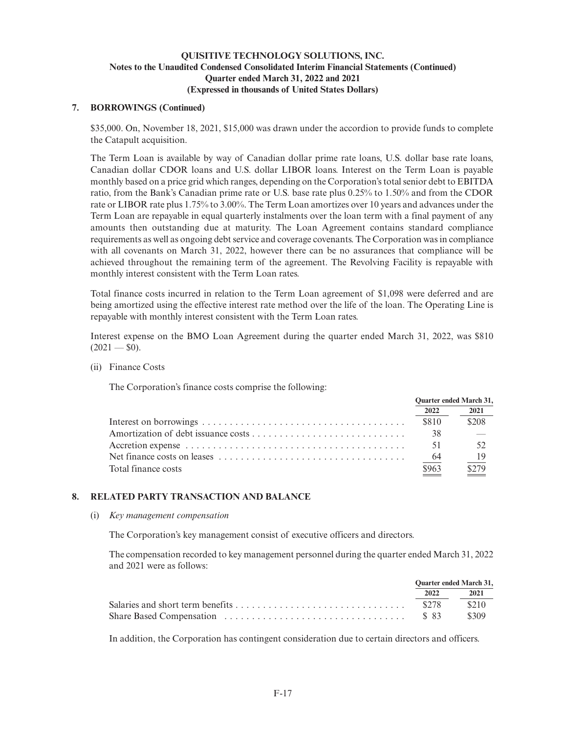### **7. BORROWINGS (Continued)**

\$35,000. On, November 18, 2021, \$15,000 was drawn under the accordion to provide funds to complete the Catapult acquisition.

The Term Loan is available by way of Canadian dollar prime rate loans, U.S. dollar base rate loans, Canadian dollar CDOR loans and U.S. dollar LIBOR loans. Interest on the Term Loan is payable monthly based on a price grid which ranges, depending on the Corporation's total senior debt to EBITDA ratio, from the Bank's Canadian prime rate or U.S. base rate plus 0.25% to 1.50% and from the CDOR rate or LIBOR rate plus 1.75% to 3.00%. The Term Loan amortizes over 10 years and advances under the Term Loan are repayable in equal quarterly instalments over the loan term with a final payment of any amounts then outstanding due at maturity. The Loan Agreement contains standard compliance requirements as well as ongoing debt service and coverage covenants. The Corporation was in compliance with all covenants on March 31, 2022, however there can be no assurances that compliance will be achieved throughout the remaining term of the agreement. The Revolving Facility is repayable with monthly interest consistent with the Term Loan rates.

Total finance costs incurred in relation to the Term Loan agreement of \$1,098 were deferred and are being amortized using the effective interest rate method over the life of the loan. The Operating Line is repayable with monthly interest consistent with the Term Loan rates.

Interest expense on the BMO Loan Agreement during the quarter ended March 31, 2022, was \$810  $(2021 - $0)$ .

(ii) Finance Costs

The Corporation's finance costs comprise the following:

|                     | <b>Ouarter ended March 31,</b> |       |
|---------------------|--------------------------------|-------|
|                     | 2022                           | 2021  |
|                     | \$810                          | \$208 |
|                     | 38                             |       |
|                     | 51                             | 52    |
|                     | -64                            | - 19  |
| Total finance costs | \$963                          | \$279 |
|                     |                                |       |

# **8. RELATED PARTY TRANSACTION AND BALANCE**

### (i) *Key management compensation*

The Corporation's key management consist of executive officers and directors.

The compensation recorded to key management personnel during the quarter ended March 31, 2022 and 2021 were as follows:

| <b>Ouarter ended March 31,</b> |       |
|--------------------------------|-------|
| 2022                           | 2021  |
|                                |       |
|                                | \$309 |

In addition, the Corporation has contingent consideration due to certain directors and officers.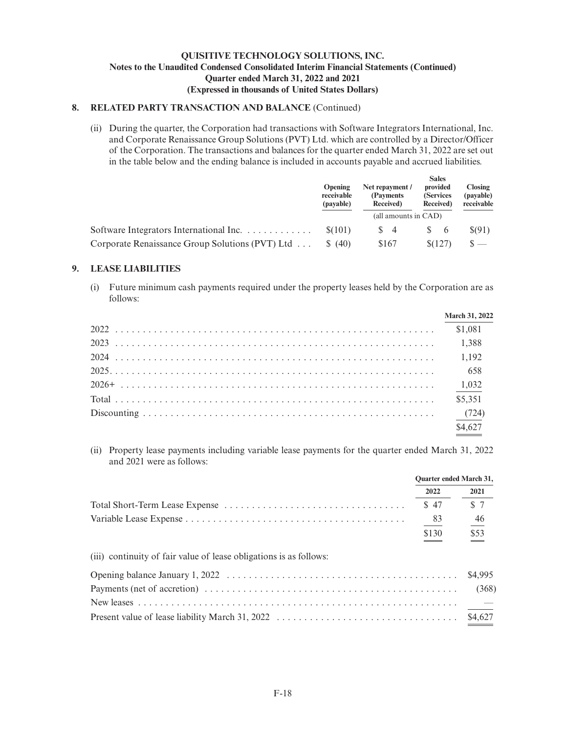### **8. RELATED PARTY TRANSACTION AND BALANCE** (Continued)

(ii) During the quarter, the Corporation had transactions with Software Integrators International, Inc. and Corporate Renaissance Group Solutions (PVT) Ltd. which are controlled by a Director/Officer of the Corporation. The transactions and balances for the quarter ended March 31, 2022 are set out in the table below and the ending balance is included in accounts payable and accrued liabilities.

|                                                      | <b>Opening</b><br>receivable<br>(payable) | Net repayment /<br>(Payments)<br>Received) | <b>Sales</b><br>provided<br>(Services<br>Received) | <b>Closing</b><br>(payable)<br>receivable |
|------------------------------------------------------|-------------------------------------------|--------------------------------------------|----------------------------------------------------|-------------------------------------------|
|                                                      |                                           | (all amounts in CAD)                       |                                                    |                                           |
| Software Integrators International Inc. $\ldots$ , , | \$(101)                                   | $\frac{8}{4}$                              | - 6                                                | S(91)                                     |
| Corporate Renaissance Group Solutions (PVT) Ltd      | (40)                                      | \$167                                      | \$(127)                                            | $\circ$ $-$                               |

### **9. LEASE LIABILITIES**

(i) Future minimum cash payments required under the property leases held by the Corporation are as follows:

| <b>March 31, 2022</b> |
|-----------------------|
|                       |
|                       |
|                       |
|                       |
|                       |
|                       |
|                       |
| \$4,627               |

(ii) Property lease payments including variable lease payments for the quarter ended March 31, 2022 and 2021 were as follows:

|                                                                    | <b>Ouarter ended March 31,</b> |         |
|--------------------------------------------------------------------|--------------------------------|---------|
|                                                                    | 2022                           | 2021    |
|                                                                    | \$47                           | \$7     |
|                                                                    | 83                             | 46      |
|                                                                    | \$130                          | \$53    |
| (iii) continuity of fair value of lease obligations is as follows: |                                |         |
|                                                                    |                                | \$4,995 |
|                                                                    |                                | (368)   |
|                                                                    |                                |         |
|                                                                    |                                | \$4,627 |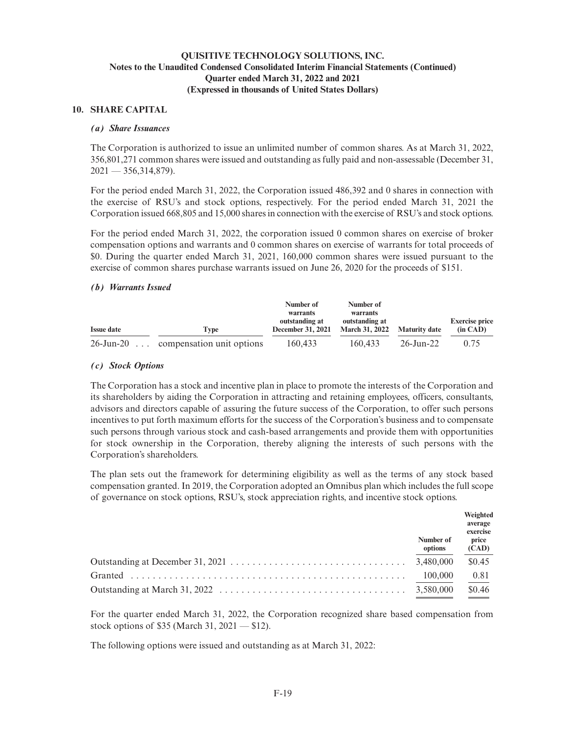### **10. SHARE CAPITAL**

### *(a) Share Issuances*

The Corporation is authorized to issue an unlimited number of common shares. As at March 31, 2022, 356,801,271 common shares were issued and outstanding as fully paid and non-assessable (December 31,  $2021 - 356,314,879$ .

For the period ended March 31, 2022, the Corporation issued 486,392 and 0 shares in connection with the exercise of RSU's and stock options, respectively. For the period ended March 31, 2021 the Corporation issued 668,805 and 15,000 shares in connection with the exercise of RSU's and stock options.

For the period ended March 31, 2022, the corporation issued 0 common shares on exercise of broker compensation options and warrants and 0 common shares on exercise of warrants for total proceeds of \$0. During the quarter ended March 31, 2021, 160,000 common shares were issued pursuant to the exercise of common shares purchase warrants issued on June 26, 2020 for the proceeds of \$151.

### *(b) Warrants Issued*

|                   |                           | Number of                                  | Number of                               |                      |                                   |
|-------------------|---------------------------|--------------------------------------------|-----------------------------------------|----------------------|-----------------------------------|
|                   |                           | warrants                                   | warrants                                |                      |                                   |
| <b>Issue date</b> | Tvpe                      | outstanding at<br><b>December 31, 2021</b> | outstanding at<br><b>March 31, 2022</b> | <b>Maturity date</b> | <b>Exercise price</b><br>(in CAD) |
| $26$ -Jun-20      | compensation unit options | 160.433                                    | 160.433                                 | 26-Jun-22            | 0.75                              |

### *(c) Stock Options*

The Corporation has a stock and incentive plan in place to promote the interests of the Corporation and its shareholders by aiding the Corporation in attracting and retaining employees, officers, consultants, advisors and directors capable of assuring the future success of the Corporation, to offer such persons incentives to put forth maximum efforts for the success of the Corporation's business and to compensate such persons through various stock and cash-based arrangements and provide them with opportunities for stock ownership in the Corporation, thereby aligning the interests of such persons with the Corporation's shareholders.

The plan sets out the framework for determining eligibility as well as the terms of any stock based compensation granted. In 2019, the Corporation adopted an Omnibus plan which includes the full scope of governance on stock options, RSU's, stock appreciation rights, and incentive stock options.

| Number of<br>options | Weighted<br>average<br>exercise<br>price<br>(CAD) |
|----------------------|---------------------------------------------------|
|                      | \$0.45                                            |
| 100,000              | 0.81                                              |
|                      | \$0.46                                            |

For the quarter ended March 31, 2022, the Corporation recognized share based compensation from stock options of \$35 (March 31, 2021 — \$12).

The following options were issued and outstanding as at March 31, 2022: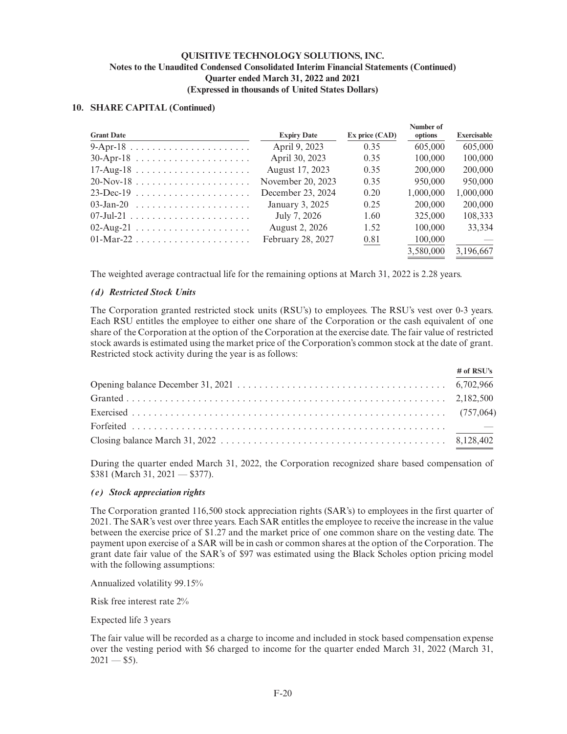### **10. SHARE CAPITAL (Continued)**

|                   |                       |                | Number of |             |
|-------------------|-----------------------|----------------|-----------|-------------|
| <b>Grant Date</b> | <b>Expiry Date</b>    | Ex price (CAD) | options   | Exercisable |
|                   | April 9, 2023         | 0.35           | 605,000   | 605,000     |
|                   | April 30, 2023        | 0.35           | 100,000   | 100,000     |
|                   | August 17, 2023       | 0.35           | 200,000   | 200,000     |
| $20-Nov-18$       | November 20, 2023     | 0.35           | 950,000   | 950,000     |
| $23$ -Dec-19      | December 23, 2024     | 0.20           | 1,000,000 | 1,000,000   |
|                   | January 3, 2025       | 0.25           | 200,000   | 200,000     |
|                   | July 7, 2026          | 1.60           | 325,000   | 108.333     |
|                   | <b>August 2, 2026</b> | 1.52           | 100,000   | 33.334      |
| 01-Mar-22         | February 28, 2027     | 0.81           | 100,000   |             |
|                   |                       |                | 3,580,000 | 3,196,667   |
|                   |                       |                |           |             |

The weighted average contractual life for the remaining options at March 31, 2022 is 2.28 years.

### *(d) Restricted Stock Units*

The Corporation granted restricted stock units (RSU's) to employees. The RSU's vest over 0-3 years. Each RSU entitles the employee to either one share of the Corporation or the cash equivalent of one share of the Corporation at the option of the Corporation at the exercise date. The fair value of restricted stock awards is estimated using the market price of the Corporation's common stock at the date of grant. Restricted stock activity during the year is as follows:

| $#$ of RSU's |
|--------------|
|              |
|              |
|              |
|              |
|              |

During the quarter ended March 31, 2022, the Corporation recognized share based compensation of \$381 (March 31, 2021 — \$377).

### *(e) Stock appreciation rights*

The Corporation granted 116,500 stock appreciation rights (SAR's) to employees in the first quarter of 2021. The SAR's vest over three years. Each SAR entitles the employee to receive the increase in the value between the exercise price of \$1.27 and the market price of one common share on the vesting date. The payment upon exercise of a SAR will be in cash or common shares at the option of the Corporation. The grant date fair value of the SAR's of \$97 was estimated using the Black Scholes option pricing model with the following assumptions:

Annualized volatility 99.15%

Risk free interest rate 2%

Expected life 3 years

The fair value will be recorded as a charge to income and included in stock based compensation expense over the vesting period with \$6 charged to income for the quarter ended March 31, 2022 (March 31,  $2021 - $5$ ).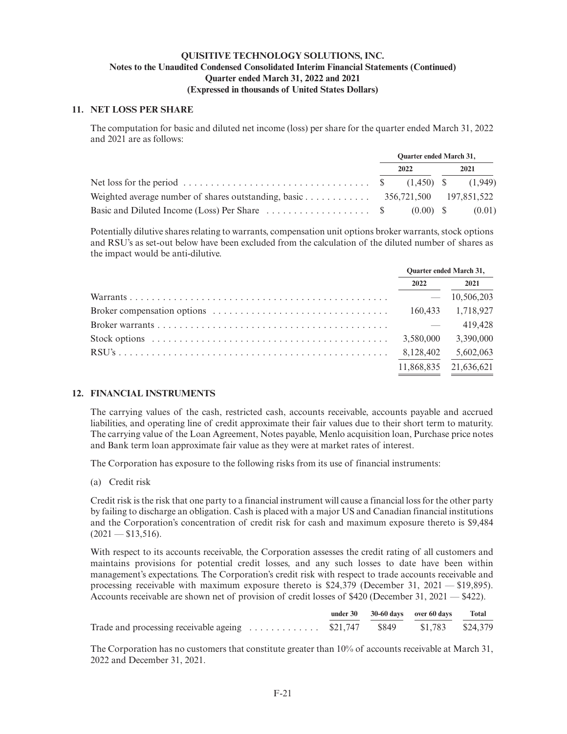### **11. NET LOSS PER SHARE**

The computation for basic and diluted net income (loss) per share for the quarter ended March 31, 2022 and 2021 are as follows:

|                                                                                               | <b>Ouarter ended March 31,</b> |      |  |      |
|-----------------------------------------------------------------------------------------------|--------------------------------|------|--|------|
|                                                                                               |                                | 2022 |  | 2021 |
|                                                                                               |                                |      |  |      |
|                                                                                               |                                |      |  |      |
| Basic and Diluted Income (Loss) Per Share $\dots \dots \dots \dots \dots$ \$ (0.00) \$ (0.01) |                                |      |  |      |

Potentially dilutive shares relating to warrants, compensation unit options broker warrants, stock options and RSU's as set-out below have been excluded from the calculation of the diluted number of shares as the impact would be anti-dilutive.

|                                                                                                            | <b>Ouarter ended March 31,</b> |            |
|------------------------------------------------------------------------------------------------------------|--------------------------------|------------|
|                                                                                                            | 2022                           | 2021       |
|                                                                                                            |                                | 10,506,203 |
|                                                                                                            | 160.433                        | 1,718,927  |
|                                                                                                            |                                | 419,428    |
| Stock options $\ldots \ldots \ldots \ldots \ldots \ldots \ldots \ldots \ldots \ldots \ldots \ldots \ldots$ | 3,580,000                      | 3,390,000  |
|                                                                                                            | 8,128,402                      | 5,602,063  |
|                                                                                                            | 11,868,835                     | 21,636,621 |
|                                                                                                            |                                |            |

# **12. FINANCIAL INSTRUMENTS**

The carrying values of the cash, restricted cash, accounts receivable, accounts payable and accrued liabilities, and operating line of credit approximate their fair values due to their short term to maturity. The carrying value of the Loan Agreement, Notes payable, Menlo acquisition loan, Purchase price notes and Bank term loan approximate fair value as they were at market rates of interest.

The Corporation has exposure to the following risks from its use of financial instruments:

(a) Credit risk

Credit risk is the risk that one party to a financial instrument will cause a financial loss for the other party by failing to discharge an obligation. Cash is placed with a major US and Canadian financial institutions and the Corporation's concentration of credit risk for cash and maximum exposure thereto is \$9,484  $(2021 - $13,516).$ 

With respect to its accounts receivable, the Corporation assesses the credit rating of all customers and maintains provisions for potential credit losses, and any such losses to date have been within management's expectations. The Corporation's credit risk with respect to trade accounts receivable and processing receivable with maximum exposure thereto is \$24,379 (December 31, 2021 — \$19,895). Accounts receivable are shown net of provision of credit losses of \$420 (December 31, 2021 — \$422).

|                                                                         |  | under 30 30-60 days over 60 days Total |  |
|-------------------------------------------------------------------------|--|----------------------------------------|--|
| Trade and processing receivable ageing  \$21,747 \$849 \$1,783 \$24,379 |  |                                        |  |

The Corporation has no customers that constitute greater than 10% of accounts receivable at March 31, 2022 and December 31, 2021.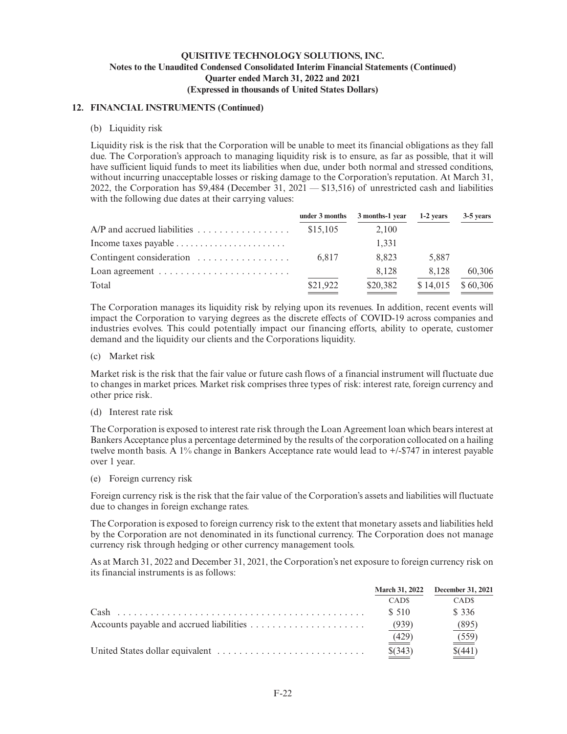### **12. FINANCIAL INSTRUMENTS (Continued)**

### (b) Liquidity risk

Liquidity risk is the risk that the Corporation will be unable to meet its financial obligations as they fall due. The Corporation's approach to managing liquidity risk is to ensure, as far as possible, that it will have sufficient liquid funds to meet its liabilities when due, under both normal and stressed conditions, without incurring unacceptable losses or risking damage to the Corporation's reputation. At March 31, 2022, the Corporation has \$9,484 (December 31, 2021 — \$13,516) of unrestricted cash and liabilities with the following due dates at their carrying values:

|                                                                 |          | under $3$ months $3$ months-1 year | 1-2 years | 3-5 years |
|-----------------------------------------------------------------|----------|------------------------------------|-----------|-----------|
|                                                                 | \$15,105 | 2.100                              |           |           |
| Income taxes payable $\dots\dots\dots\dots\dots\dots\dots\dots$ |          | 1.331                              |           |           |
| Contingent consideration $\dots \dots \dots \dots \dots$        | 6.817    | 8.823                              | 5.887     |           |
| Loan agreement $\dots\dots\dots\dots\dots\dots\dots\dots\dots$  |          | 8,128                              | 8.128     | 60,306    |
| Total                                                           | \$21,922 | \$20,382                           | \$14,015  | \$60,306  |

The Corporation manages its liquidity risk by relying upon its revenues. In addition, recent events will impact the Corporation to varying degrees as the discrete effects of COVID-19 across companies and industries evolves. This could potentially impact our financing efforts, ability to operate, customer demand and the liquidity our clients and the Corporations liquidity.

(c) Market risk

Market risk is the risk that the fair value or future cash flows of a financial instrument will fluctuate due to changes in market prices. Market risk comprises three types of risk: interest rate, foreign currency and other price risk.

(d) Interest rate risk

The Corporation is exposed to interest rate risk through the Loan Agreement loan which bears interest at Bankers Acceptance plus a percentage determined by the results of the corporation collocated on a hailing twelve month basis. A 1% change in Bankers Acceptance rate would lead to +/-\$747 in interest payable over 1 year.

(e) Foreign currency risk

Foreign currency risk is the risk that the fair value of the Corporation's assets and liabilities will fluctuate due to changes in foreign exchange rates.

The Corporation is exposed to foreign currency risk to the extent that monetary assets and liabilities held by the Corporation are not denominated in its functional currency. The Corporation does not manage currency risk through hedging or other currency management tools.

As at March 31, 2022 and December 31, 2021, the Corporation's net exposure to foreign currency risk on its financial instruments is as follows:

| <b>March 31, 2022</b> | <b>December 31, 2021</b> |
|-----------------------|--------------------------|
| CAD <sub>s</sub>      | CAD <sub>s</sub>         |
| \$ 510                | \$ 336                   |
| (939)                 | (895                     |
| (429)                 | $\frac{(559)}{2}$        |
| $$^{(343)}$           |                          |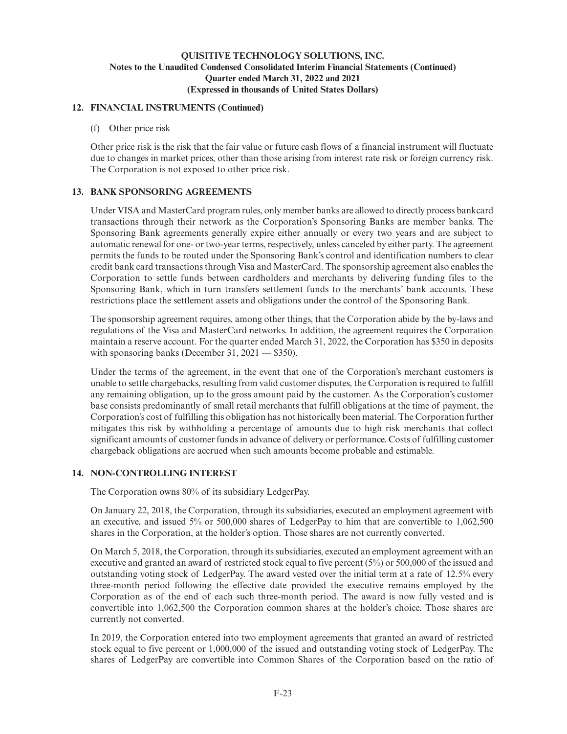### **12. FINANCIAL INSTRUMENTS (Continued)**

(f) Other price risk

Other price risk is the risk that the fair value or future cash flows of a financial instrument will fluctuate due to changes in market prices, other than those arising from interest rate risk or foreign currency risk. The Corporation is not exposed to other price risk.

# **13. BANK SPONSORING AGREEMENTS**

Under VISA and MasterCard program rules, only member banks are allowed to directly process bankcard transactions through their network as the Corporation's Sponsoring Banks are member banks. The Sponsoring Bank agreements generally expire either annually or every two years and are subject to automatic renewal for one- or two-year terms, respectively, unless canceled by either party. The agreement permits the funds to be routed under the Sponsoring Bank's control and identification numbers to clear credit bank card transactions through Visa and MasterCard. The sponsorship agreement also enables the Corporation to settle funds between cardholders and merchants by delivering funding files to the Sponsoring Bank, which in turn transfers settlement funds to the merchants' bank accounts. These restrictions place the settlement assets and obligations under the control of the Sponsoring Bank.

The sponsorship agreement requires, among other things, that the Corporation abide by the by-laws and regulations of the Visa and MasterCard networks. In addition, the agreement requires the Corporation maintain a reserve account. For the quarter ended March 31, 2022, the Corporation has \$350 in deposits with sponsoring banks (December 31,  $2021 - $350$ ).

Under the terms of the agreement, in the event that one of the Corporation's merchant customers is unable to settle chargebacks, resulting from valid customer disputes, the Corporation is required to fulfill any remaining obligation, up to the gross amount paid by the customer. As the Corporation's customer base consists predominantly of small retail merchants that fulfill obligations at the time of payment, the Corporation's cost of fulfilling this obligation has not historically been material. The Corporation further mitigates this risk by withholding a percentage of amounts due to high risk merchants that collect significant amounts of customer funds in advance of delivery or performance. Costs of fulfilling customer chargeback obligations are accrued when such amounts become probable and estimable.

# **14. NON-CONTROLLING INTEREST**

The Corporation owns 80% of its subsidiary LedgerPay.

On January 22, 2018, the Corporation, through its subsidiaries, executed an employment agreement with an executive, and issued 5% or 500,000 shares of LedgerPay to him that are convertible to 1,062,500 shares in the Corporation, at the holder's option. Those shares are not currently converted.

On March 5, 2018, the Corporation, through its subsidiaries, executed an employment agreement with an executive and granted an award of restricted stock equal to five percent (5%) or 500,000 of the issued and outstanding voting stock of LedgerPay. The award vested over the initial term at a rate of 12.5% every three-month period following the effective date provided the executive remains employed by the Corporation as of the end of each such three-month period. The award is now fully vested and is convertible into 1,062,500 the Corporation common shares at the holder's choice. Those shares are currently not converted.

In 2019, the Corporation entered into two employment agreements that granted an award of restricted stock equal to five percent or 1,000,000 of the issued and outstanding voting stock of LedgerPay. The shares of LedgerPay are convertible into Common Shares of the Corporation based on the ratio of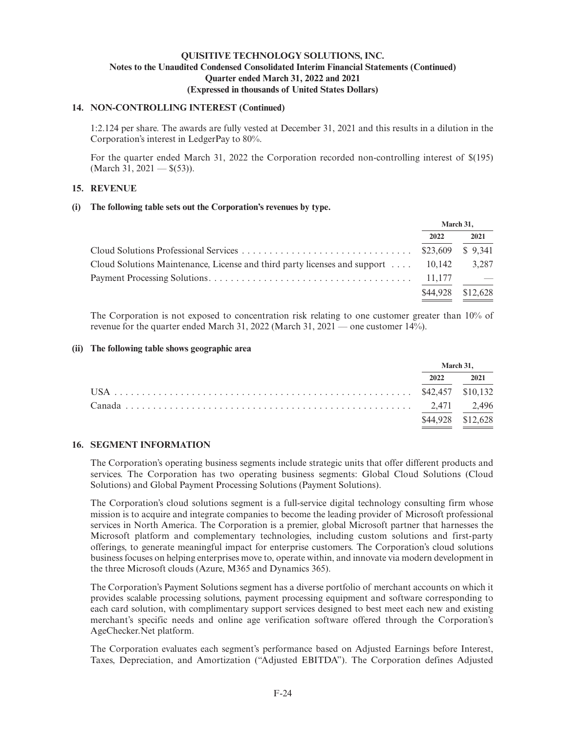### **14. NON-CONTROLLING INTEREST (Continued)**

1:2.124 per share. The awards are fully vested at December 31, 2021 and this results in a dilution in the Corporation's interest in LedgerPay to 80%.

For the quarter ended March 31, 2022 the Corporation recorded non-controlling interest of \$(195)  $(March 31, 2021 - $(53)]$ .

# **15. REVENUE**

### **(i) The following table sets out the Corporation's revenues by type.**

|                                                                                   | March 31. |          |
|-----------------------------------------------------------------------------------|-----------|----------|
|                                                                                   | 2022      | 2021     |
|                                                                                   |           |          |
| Cloud Solutions Maintenance, License and third party licenses and support $\dots$ | 10.142    | 3.287    |
|                                                                                   |           |          |
|                                                                                   | \$44,928  | \$12,628 |

The Corporation is not exposed to concentration risk relating to one customer greater than 10% of revenue for the quarter ended March 31, 2022 (March 31, 2021 — one customer 14%).

### **(ii) The following table shows geographic area**

| March 31.         |      |
|-------------------|------|
| 2022              | 2021 |
|                   |      |
|                   |      |
| \$44,928 \$12,628 |      |

# **16. SEGMENT INFORMATION**

The Corporation's operating business segments include strategic units that offer different products and services. The Corporation has two operating business segments: Global Cloud Solutions (Cloud Solutions) and Global Payment Processing Solutions (Payment Solutions).

The Corporation's cloud solutions segment is a full-service digital technology consulting firm whose mission is to acquire and integrate companies to become the leading provider of Microsoft professional services in North America. The Corporation is a premier, global Microsoft partner that harnesses the Microsoft platform and complementary technologies, including custom solutions and first-party offerings, to generate meaningful impact for enterprise customers. The Corporation's cloud solutions business focuses on helping enterprises move to, operate within, and innovate via modern development in the three Microsoft clouds (Azure, M365 and Dynamics 365).

The Corporation's Payment Solutions segment has a diverse portfolio of merchant accounts on which it provides scalable processing solutions, payment processing equipment and software corresponding to each card solution, with complimentary support services designed to best meet each new and existing merchant's specific needs and online age verification software offered through the Corporation's AgeChecker.Net platform.

The Corporation evaluates each segment's performance based on Adjusted Earnings before Interest, Taxes, Depreciation, and Amortization ("Adjusted EBITDA"). The Corporation defines Adjusted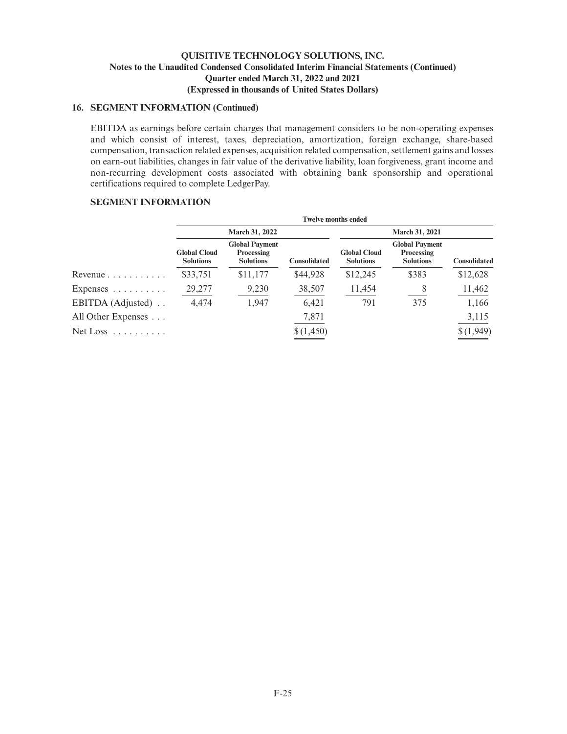### **16. SEGMENT INFORMATION (Continued)**

EBITDA as earnings before certain charges that management considers to be non-operating expenses and which consist of interest, taxes, depreciation, amortization, foreign exchange, share-based compensation, transaction related expenses, acquisition related compensation, settlement gains and losses on earn-out liabilities, changes in fair value of the derivative liability, loan forgiveness, grant income and non-recurring development costs associated with obtaining bank sponsorship and operational certifications required to complete LedgerPay.

# **SEGMENT INFORMATION**

|                                 | <b>Twelve months ended</b>              |                                                         |                     |                                         |                                                         |                     |
|---------------------------------|-----------------------------------------|---------------------------------------------------------|---------------------|-----------------------------------------|---------------------------------------------------------|---------------------|
|                                 | March 31, 2022                          |                                                         |                     |                                         | March 31, 2021                                          |                     |
|                                 | <b>Global Cloud</b><br><b>Solutions</b> | <b>Global Payment</b><br>Processing<br><b>Solutions</b> | <b>Consolidated</b> | <b>Global Cloud</b><br><b>Solutions</b> | <b>Global Payment</b><br>Processing<br><b>Solutions</b> | <b>Consolidated</b> |
| Revenue $\ldots \ldots \ldots$  | \$33,751                                | \$11,177                                                | \$44,928            | \$12,245                                | \$383                                                   | \$12,628            |
| Expenses $\ldots \ldots \ldots$ | 29,277                                  | 9,230                                                   | 38,507              | 11,454                                  | 8                                                       | 11,462              |
| EBITDA (Adjusted)               | 4,474                                   | 1,947                                                   | 6.421               | 791                                     | 375                                                     | 1,166               |
| All Other Expenses $\ldots$     |                                         |                                                         | 7,871               |                                         |                                                         | 3,115               |
| $Net Loss \dots \dots \dots$    |                                         |                                                         | \$(1,450)           |                                         |                                                         | \$(1,949)           |